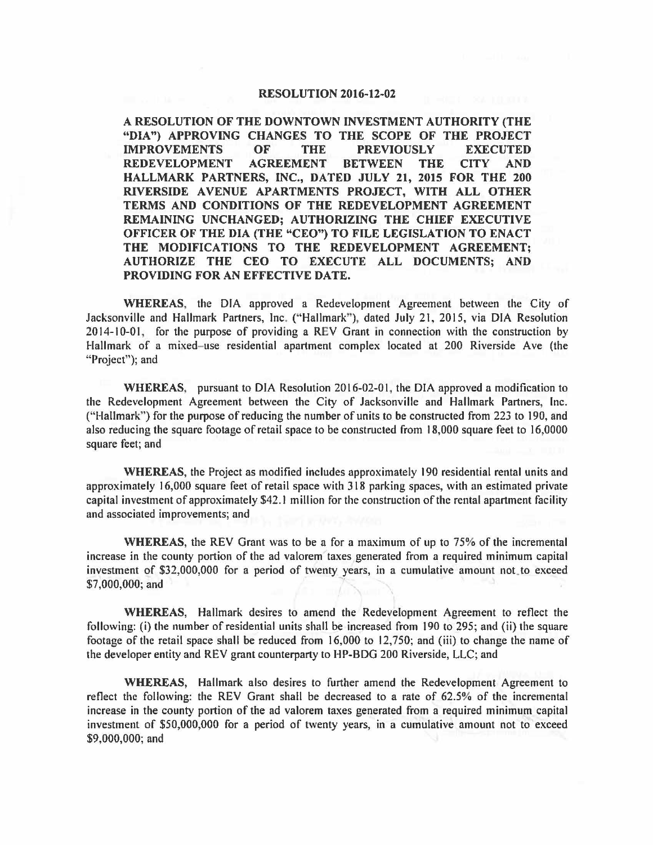## **RESOLUTION 2016-12-02**

**A RESOLUTION OF THE DOWNTOWN INVESTMENT AUTHORITY (THE "DIA") APPROVING CHANGES TO THE SCOPE OF THE PROJECT IMPROVEMENTS OF THE PREVIOUSLY EXECUTED REDEVELOPMENT AGREEMENT BETWEEN THE CITY AND HALLMARK PARTNERS, INC., DATED JULY 21, 2015 FOR THE 200 RIVERSIDE AVENUE APARTMENTS PROJECT, WITH ALL OTHER TERMS AND CONDITIONS OF THE REDEVELOPMENT AGREEMENT REMAINING UNCHANGED; AUTHORIZING THE CHIEF EXECUTIVE OFFICER OF THE DIA (THE "CEO") TO FILE LEGISLATION TO ENACT THE MODIFICATIONS TO THE REDEVELOPMENT AGREEMENT; AUTHORIZE THE CEO TO EXECUTE ALL DOCUMENTS; AND PROVIDING FOR AN EFFECTIVE DATE.** 

**WHEREAS,** the DIA approved a Redevelopment Agreement between the City of Jacksonville and Hallmark Partners, Inc. ("Hallmark"), dated July 21, 2015, via DIA Resolution 2014-10-01, for the purpose of providing a REV Grant in connection with the construction by Hallmark of a mixed-use residential apartment complex located at 200 Riverside Ave (the "Project"); and

**WHEREAS;** pursuant to DIA Resolution 2016-02-01, the DIA approved a modification to the Redevelopment Agreement between the City of Jacksonville and Hallmark Partners, Inc. ("Hallmark") for the purpose of reducing the number of units to be constructed from 223 to 190, and also reducing the square footage of retail space to be constructed from 18,000 square feet to 16,0000 square feet; and

**WHEREAS,** the Project as modified includes approximately 190 residential rental units and approximately 16,000 square feet of retail space with 318 parking spaces, with an estimated private capital investment of approximately \$42.1 million for the construction of the rental apartment facility and associated improvements; and

**WHEREAS,** the REV Grant was to be a for a maximum of up to 75% of the incremental increase in the county portion of the ad valorem taxes generated from a required minimum capital investment of \$32,000,000 for a period of twenty years, in a cumulative amount not. to exceed \$7,000,000; and -

**WHEREAS,** Hallmark desires to amend the Redevelopment Agreement to reflect the following: (i) the number of residential units shall be increased from 190 to 295; and (ii) the square footage of the retail space shall be reduced from 16,000 to 12,750; and (iii) to change the name of the developer entity and REV grant counterparty to HP-BDG 200 Riverside, LLC; and

**WHEREAS,** Hallmark also desires to further amend the Redevelopment Agreement to reflect the following: the REV Grant shall be decreased to a rate of 62.5% of the incremental increase in the county portion of the ad valorem taxes generated from a required minimum capital investment of \$50,000,000 for a period of twenty years, in a cumulative amount not to exceed \$9,000,000; and